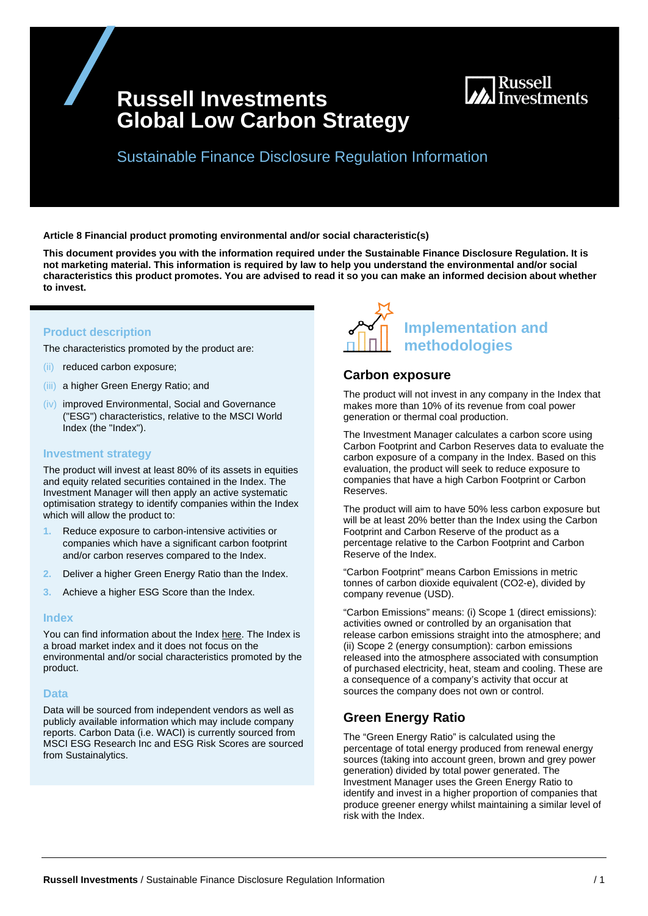# **Russell Investments Global Low Carbon Strategy**



Sustainable Finance Disclosure Regulation Information

**Article 8 Financial product promoting environmental and/or social characteristic(s)** 

**This document provides you with the information required under the Sustainable Finance Disclosure Regulation. It is not marketing material. This information is required by law to help you understand the environmental and/or social characteristics this product promotes. You are advised to read it so you can make an informed decision about whether to invest.**

## **Product description**

The characteristics promoted by the product are:

- (ii) reduced carbon exposure;
- (iii) a higher Green Energy Ratio; and
- (iv) improved Environmental, Social and Governance ("ESG") characteristics, relative to the MSCI World Index (the "Index").

#### **Investment strategy**

The product will invest at least 80% of its assets in equities and equity related securities contained in the Index. The Investment Manager will then apply an active systematic optimisation strategy to identify companies within the Index which will allow the product to:

- **1.** Reduce exposure to carbon-intensive activities or companies which have a significant carbon footprint and/or carbon reserves compared to the Index.
- **2.** Deliver a higher Green Energy Ratio than the Index.
- **3.** Achieve a higher ESG Score than the Index.

#### **Index**

You can find information about the Index [here.](https://www.msci.com/documents/10199/149ed7bc-316e-4b4c-8ea4-43fcb5bd6523) The Index is a broad market index and it does not focus on the environmental and/or social characteristics promoted by the product.

#### **Data**

Data will be sourced from independent vendors as well as publicly available information which may include company reports. Carbon Data (i.e. WACI) is currently sourced from MSCI ESG Research Inc and ESG Risk Scores are sourced from Sustainalytics.



### **Carbon exposure**

The product will not invest in any company in the Index that makes more than 10% of its revenue from coal power generation or thermal coal production.

The Investment Manager calculates a carbon score using Carbon Footprint and Carbon Reserves data to evaluate the carbon exposure of a company in the Index. Based on this evaluation, the product will seek to reduce exposure to companies that have a high Carbon Footprint or Carbon Reserves.

The product will aim to have 50% less carbon exposure but will be at least 20% better than the Index using the Carbon Footprint and Carbon Reserve of the product as a percentage relative to the Carbon Footprint and Carbon Reserve of the Index.

"Carbon Footprint" means Carbon Emissions in metric tonnes of carbon dioxide equivalent (CO2-e), divided by company revenue (USD).

"Carbon Emissions" means: (i) Scope 1 (direct emissions): activities owned or controlled by an organisation that release carbon emissions straight into the atmosphere; and (ii) Scope 2 (energy consumption): carbon emissions released into the atmosphere associated with consumption of purchased electricity, heat, steam and cooling. These are a consequence of a company's activity that occur at sources the company does not own or control.

## **Green Energy Ratio**

The "Green Energy Ratio" is calculated using the percentage of total energy produced from renewal energy sources (taking into account green, brown and grey power generation) divided by total power generated. The Investment Manager uses the Green Energy Ratio to identify and invest in a higher proportion of companies that produce greener energy whilst maintaining a similar level of risk with the Index.